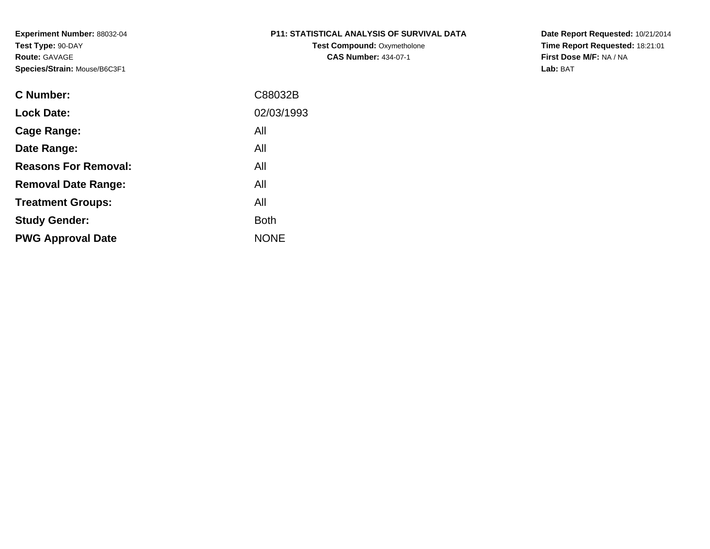# **P11: STATISTICAL ANALYSIS OF SURVIVAL DATA**

**Test Compound: Oxymetholone CAS Number:** 434-07-1

**Date Report Requested:** 10/21/2014 **Time Report Requested:** 18:21:01**First Dose M/F:** NA / NA**Lab:** BAT

| C Number:                   | C88032B     |
|-----------------------------|-------------|
| <b>Lock Date:</b>           | 02/03/1993  |
| Cage Range:                 | All         |
| Date Range:                 | All         |
| <b>Reasons For Removal:</b> | All         |
| <b>Removal Date Range:</b>  | All         |
| <b>Treatment Groups:</b>    | All         |
| <b>Study Gender:</b>        | <b>Both</b> |
| <b>PWG Approval Date</b>    | <b>NONE</b> |
|                             |             |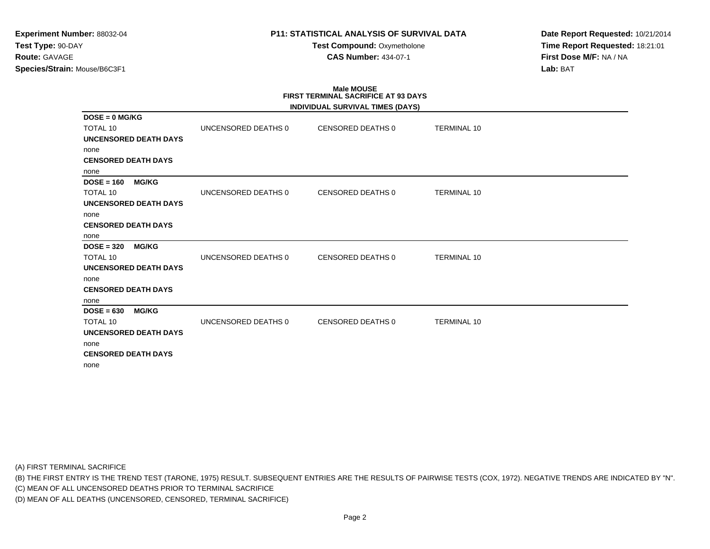### **P11: STATISTICAL ANALYSIS OF SURVIVAL DATA**

**Test Compound:** Oxymetholone**CAS Number:** 434-07-1

**Date Report Requested:** 10/21/2014**Time Report Requested:** 18:21:01**First Dose M/F:** NA / NA**Lab:** BAT

# **Male MOUSEFIRST TERMINAL SACRIFICE AT 93 DAYS**

|                              |                     | INDIVIDUAL SURVIVAL TIMES (DAYS) |                    |
|------------------------------|---------------------|----------------------------------|--------------------|
| $DOSE = 0$ MG/KG             |                     |                                  |                    |
| <b>TOTAL 10</b>              | UNCENSORED DEATHS 0 | CENSORED DEATHS 0                | <b>TERMINAL 10</b> |
| <b>UNCENSORED DEATH DAYS</b> |                     |                                  |                    |
| none                         |                     |                                  |                    |
| <b>CENSORED DEATH DAYS</b>   |                     |                                  |                    |
| none                         |                     |                                  |                    |
| $DOSE = 160$<br><b>MG/KG</b> |                     |                                  |                    |
| <b>TOTAL 10</b>              | UNCENSORED DEATHS 0 | CENSORED DEATHS 0                | <b>TERMINAL 10</b> |
| <b>UNCENSORED DEATH DAYS</b> |                     |                                  |                    |
| none                         |                     |                                  |                    |
| <b>CENSORED DEATH DAYS</b>   |                     |                                  |                    |
| none                         |                     |                                  |                    |
| $DOSE = 320$<br><b>MG/KG</b> |                     |                                  |                    |
| <b>TOTAL 10</b>              | UNCENSORED DEATHS 0 | <b>CENSORED DEATHS 0</b>         | <b>TERMINAL 10</b> |
| <b>UNCENSORED DEATH DAYS</b> |                     |                                  |                    |
| none                         |                     |                                  |                    |
| <b>CENSORED DEATH DAYS</b>   |                     |                                  |                    |
| none                         |                     |                                  |                    |
| $DOSE = 630$<br><b>MG/KG</b> |                     |                                  |                    |
| <b>TOTAL 10</b>              | UNCENSORED DEATHS 0 | <b>CENSORED DEATHS 0</b>         | <b>TERMINAL 10</b> |
| <b>UNCENSORED DEATH DAYS</b> |                     |                                  |                    |
| none                         |                     |                                  |                    |
| <b>CENSORED DEATH DAYS</b>   |                     |                                  |                    |
| none                         |                     |                                  |                    |

(A) FIRST TERMINAL SACRIFICE

(B) THE FIRST ENTRY IS THE TREND TEST (TARONE, 1975) RESULT. SUBSEQUENT ENTRIES ARE THE RESULTS OF PAIRWISE TESTS (COX, 1972). NEGATIVE TRENDS ARE INDICATED BY "N".

(C) MEAN OF ALL UNCENSORED DEATHS PRIOR TO TERMINAL SACRIFICE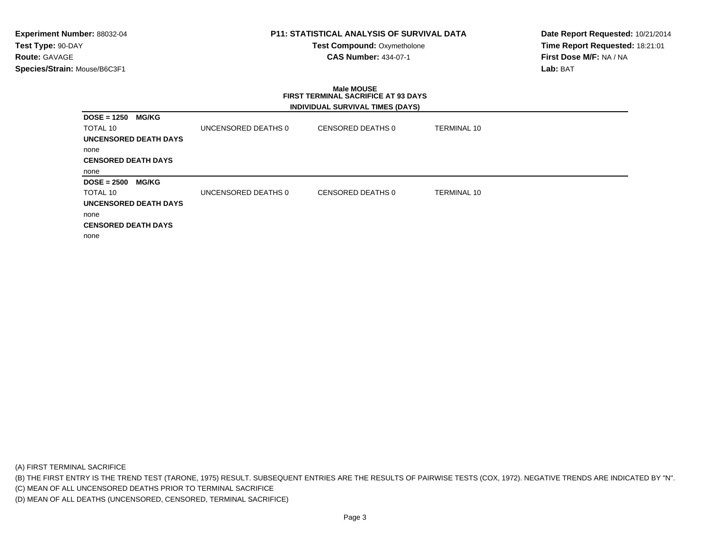### **P11: STATISTICAL ANALYSIS OF SURVIVAL DATA**

**Test Compound:** Oxymetholone**CAS Number:** 434-07-1

**Date Report Requested:** 10/21/2014**Time Report Requested:** 18:21:01**First Dose M/F:** NA / NA**Lab:** BAT

### **Male MOUSE FIRST TERMINAL SACRIFICE AT 93 DAYSINDIVIDUAL SURVIVAL TIMES (DAYS)**

| <b>MG/KG</b><br>$DOSE = 1250$ |                     |                   |                    |  |
|-------------------------------|---------------------|-------------------|--------------------|--|
| TOTAL 10                      | UNCENSORED DEATHS 0 | CENSORED DEATHS 0 | <b>TERMINAL 10</b> |  |
| UNCENSORED DEATH DAYS         |                     |                   |                    |  |
| none                          |                     |                   |                    |  |
| <b>CENSORED DEATH DAYS</b>    |                     |                   |                    |  |
| none                          |                     |                   |                    |  |
|                               |                     |                   |                    |  |
| <b>MG/KG</b><br>$DOSE = 2500$ |                     |                   |                    |  |
| TOTAL 10                      | UNCENSORED DEATHS 0 | CENSORED DEATHS 0 | <b>TERMINAL 10</b> |  |
| <b>UNCENSORED DEATH DAYS</b>  |                     |                   |                    |  |
| none                          |                     |                   |                    |  |
| <b>CENSORED DEATH DAYS</b>    |                     |                   |                    |  |

(A) FIRST TERMINAL SACRIFICE

(B) THE FIRST ENTRY IS THE TREND TEST (TARONE, 1975) RESULT. SUBSEQUENT ENTRIES ARE THE RESULTS OF PAIRWISE TESTS (COX, 1972). NEGATIVE TRENDS ARE INDICATED BY "N".

(C) MEAN OF ALL UNCENSORED DEATHS PRIOR TO TERMINAL SACRIFICE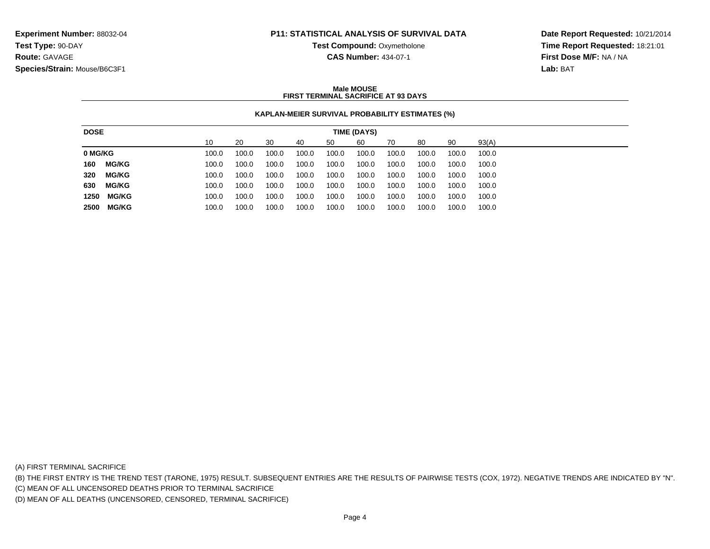### **P11: STATISTICAL ANALYSIS OF SURVIVAL DATA**

**Test Compound:** Oxymetholone

**CAS Number:** 434-07-1

**Date Report Requested:** 10/21/2014**Time Report Requested:** 18:21:01**First Dose M/F:** NA / NA**Lab:** BAT

### **Male MOUSEFIRST TERMINAL SACRIFICE AT 93 DAYS**

### **KAPLAN-MEIER SURVIVAL PROBABILITY ESTIMATES (%)**

| 90<br>93(A)<br>30<br>10<br>20<br>60<br>70<br>80<br>40<br>50<br>100.0<br>100.0<br>100.0<br>100.0<br>100.0<br>100.0<br>100.0<br>100.0<br>100.0<br>100.0<br><b>MG/KG</b><br>100.0<br>100.0<br>100.0<br>100.0<br>100.0<br>100.0<br>100.0<br>100.0<br>100.0<br>100.0<br><b>MG/KG</b><br>100.0<br>100.0<br>100.0<br>100.0<br>100.0<br>100.0<br>100.0<br>100.0<br>100.0<br>100.0<br><b>MG/KG</b><br>100.0<br>100.0<br>100.0<br>100.0<br>100.0<br>100.0<br>100.0<br>100.0<br>100.0<br>100.0 |
|-------------------------------------------------------------------------------------------------------------------------------------------------------------------------------------------------------------------------------------------------------------------------------------------------------------------------------------------------------------------------------------------------------------------------------------------------------------------------------------|
| 0 MG/KG<br>160<br>320<br>630                                                                                                                                                                                                                                                                                                                                                                                                                                                        |
|                                                                                                                                                                                                                                                                                                                                                                                                                                                                                     |
|                                                                                                                                                                                                                                                                                                                                                                                                                                                                                     |
|                                                                                                                                                                                                                                                                                                                                                                                                                                                                                     |
|                                                                                                                                                                                                                                                                                                                                                                                                                                                                                     |
| <b>MG/KG</b><br>1250<br>100.0<br>100.0<br>100.0<br>100.0<br>100.0<br>100.0<br>100.0<br>100.0<br>100.0<br>100.0                                                                                                                                                                                                                                                                                                                                                                      |
| <b>MG/KG</b><br>2500<br>100.0<br>100.0<br>100.0<br>100.0<br>100.0<br>100.0<br>100.0<br>100.0<br>100.0<br>100.0                                                                                                                                                                                                                                                                                                                                                                      |

(A) FIRST TERMINAL SACRIFICE

(B) THE FIRST ENTRY IS THE TREND TEST (TARONE, 1975) RESULT. SUBSEQUENT ENTRIES ARE THE RESULTS OF PAIRWISE TESTS (COX, 1972). NEGATIVE TRENDS ARE INDICATED BY "N".

(C) MEAN OF ALL UNCENSORED DEATHS PRIOR TO TERMINAL SACRIFICE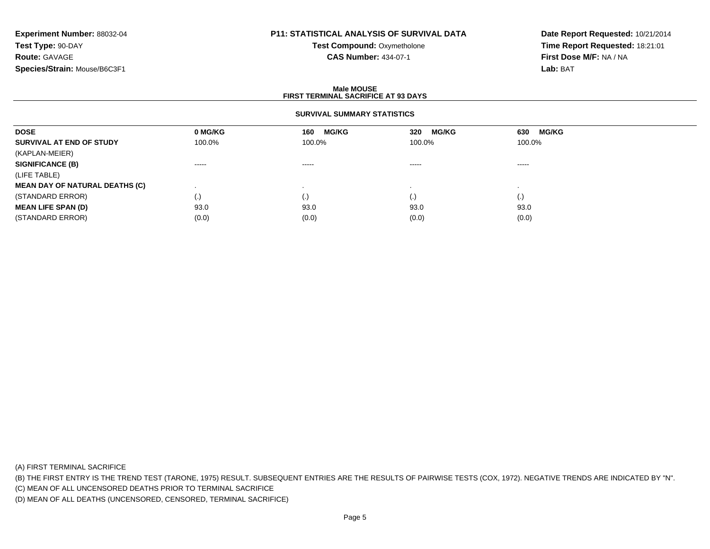# **P11: STATISTICAL ANALYSIS OF SURVIVAL DATA**

**Test Compound:** Oxymetholone**CAS Number:** 434-07-1

**Date Report Requested:** 10/21/2014**Time Report Requested:** 18:21:01**First Dose M/F:** NA / NA**Lab:** BAT

### **Male MOUSEFIRST TERMINAL SACRIFICE AT 93 DAYS**

### **SURVIVAL SUMMARY STATISTICS**

| <b>DOSE</b>                           | 0 MG/KG                | <b>MG/KG</b><br>160 | <b>MG/KG</b><br>320 | <b>MG/KG</b><br>630 |
|---------------------------------------|------------------------|---------------------|---------------------|---------------------|
| SURVIVAL AT END OF STUDY              | 100.0%                 | 100.0%              | 100.0%              | 100.0%              |
| (KAPLAN-MEIER)                        |                        |                     |                     |                     |
| <b>SIGNIFICANCE (B)</b>               | $\cdots \cdots \cdots$ | -----               | -----               | -----               |
| (LIFE TABLE)                          |                        |                     |                     |                     |
| <b>MEAN DAY OF NATURAL DEATHS (C)</b> |                        |                     |                     |                     |
| (STANDARD ERROR)                      | $\left( \cdot \right)$ | (.)                 |                     | $\left( . \right)$  |
| <b>MEAN LIFE SPAN (D)</b>             | 93.0                   | 93.0                | 93.0                | 93.0                |
| (STANDARD ERROR)                      | (0.0)                  | (0.0)               | (0.0)               | (0.0)               |

(A) FIRST TERMINAL SACRIFICE

(B) THE FIRST ENTRY IS THE TREND TEST (TARONE, 1975) RESULT. SUBSEQUENT ENTRIES ARE THE RESULTS OF PAIRWISE TESTS (COX, 1972). NEGATIVE TRENDS ARE INDICATED BY "N".

(C) MEAN OF ALL UNCENSORED DEATHS PRIOR TO TERMINAL SACRIFICE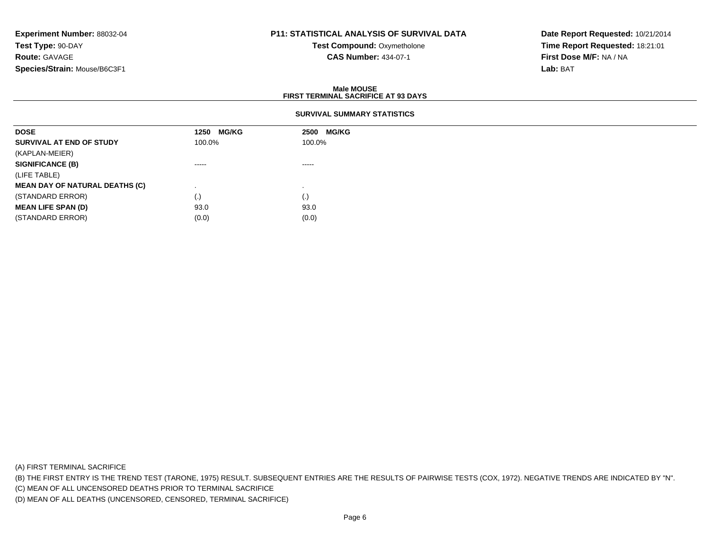# **P11: STATISTICAL ANALYSIS OF SURVIVAL DATA**

**Test Compound:** Oxymetholone**CAS Number:** 434-07-1

**Date Report Requested:** 10/21/2014**Time Report Requested:** 18:21:01**First Dose M/F:** NA / NA**Lab:** BAT

### **Male MOUSEFIRST TERMINAL SACRIFICE AT 93 DAYS**

### **SURVIVAL SUMMARY STATISTICS**

| <b>DOSE</b>                           | <b>MG/KG</b><br>1250 | 2500 MG/KG |
|---------------------------------------|----------------------|------------|
| SURVIVAL AT END OF STUDY              | 100.0%               | 100.0%     |
| (KAPLAN-MEIER)                        |                      |            |
| <b>SIGNIFICANCE (B)</b>               | ------               | ------     |
| (LIFE TABLE)                          |                      |            |
| <b>MEAN DAY OF NATURAL DEATHS (C)</b> |                      |            |
| (STANDARD ERROR)                      | (.)                  | (.)        |
| <b>MEAN LIFE SPAN (D)</b>             | 93.0                 | 93.0       |
| (STANDARD ERROR)                      | (0.0)                | (0.0)      |

(A) FIRST TERMINAL SACRIFICE

(B) THE FIRST ENTRY IS THE TREND TEST (TARONE, 1975) RESULT. SUBSEQUENT ENTRIES ARE THE RESULTS OF PAIRWISE TESTS (COX, 1972). NEGATIVE TRENDS ARE INDICATED BY "N".

(C) MEAN OF ALL UNCENSORED DEATHS PRIOR TO TERMINAL SACRIFICE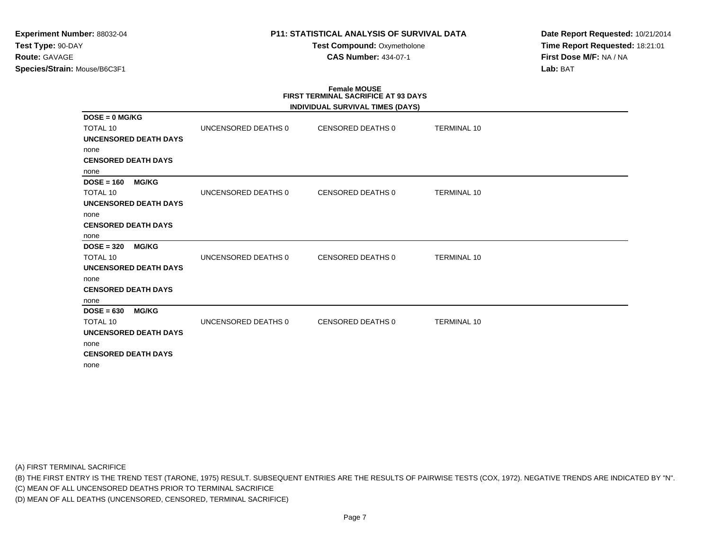### **P11: STATISTICAL ANALYSIS OF SURVIVAL DATA**

**Test Compound:** Oxymetholone**CAS Number:** 434-07-1

**Date Report Requested:** 10/21/2014**Time Report Requested:** 18:21:01**First Dose M/F:** NA / NA**Lab:** BAT

# **Female MOUSE FIRST TERMINAL SACRIFICE AT 93 DAYS**

|                              |                     | INDIVIDUAL SURVIVAL TIMES (DAYS) |                    |
|------------------------------|---------------------|----------------------------------|--------------------|
| $DOSE = 0$ MG/KG             |                     |                                  |                    |
| <b>TOTAL 10</b>              | UNCENSORED DEATHS 0 | CENSORED DEATHS 0                | <b>TERMINAL 10</b> |
| <b>UNCENSORED DEATH DAYS</b> |                     |                                  |                    |
| none                         |                     |                                  |                    |
| <b>CENSORED DEATH DAYS</b>   |                     |                                  |                    |
| none                         |                     |                                  |                    |
| $DOSE = 160$<br><b>MG/KG</b> |                     |                                  |                    |
| <b>TOTAL 10</b>              | UNCENSORED DEATHS 0 | <b>CENSORED DEATHS 0</b>         | <b>TERMINAL 10</b> |
| <b>UNCENSORED DEATH DAYS</b> |                     |                                  |                    |
| none                         |                     |                                  |                    |
| <b>CENSORED DEATH DAYS</b>   |                     |                                  |                    |
| none                         |                     |                                  |                    |
| $DOSE = 320$<br><b>MG/KG</b> |                     |                                  |                    |
| <b>TOTAL 10</b>              | UNCENSORED DEATHS 0 | <b>CENSORED DEATHS 0</b>         | <b>TERMINAL 10</b> |
| <b>UNCENSORED DEATH DAYS</b> |                     |                                  |                    |
| none                         |                     |                                  |                    |
| <b>CENSORED DEATH DAYS</b>   |                     |                                  |                    |
| none                         |                     |                                  |                    |
| $DOSE = 630$<br><b>MG/KG</b> |                     |                                  |                    |
| <b>TOTAL 10</b>              | UNCENSORED DEATHS 0 | <b>CENSORED DEATHS 0</b>         | <b>TERMINAL 10</b> |
| <b>UNCENSORED DEATH DAYS</b> |                     |                                  |                    |
| none                         |                     |                                  |                    |
| <b>CENSORED DEATH DAYS</b>   |                     |                                  |                    |
| none                         |                     |                                  |                    |

(A) FIRST TERMINAL SACRIFICE

(B) THE FIRST ENTRY IS THE TREND TEST (TARONE, 1975) RESULT. SUBSEQUENT ENTRIES ARE THE RESULTS OF PAIRWISE TESTS (COX, 1972). NEGATIVE TRENDS ARE INDICATED BY "N".

(C) MEAN OF ALL UNCENSORED DEATHS PRIOR TO TERMINAL SACRIFICE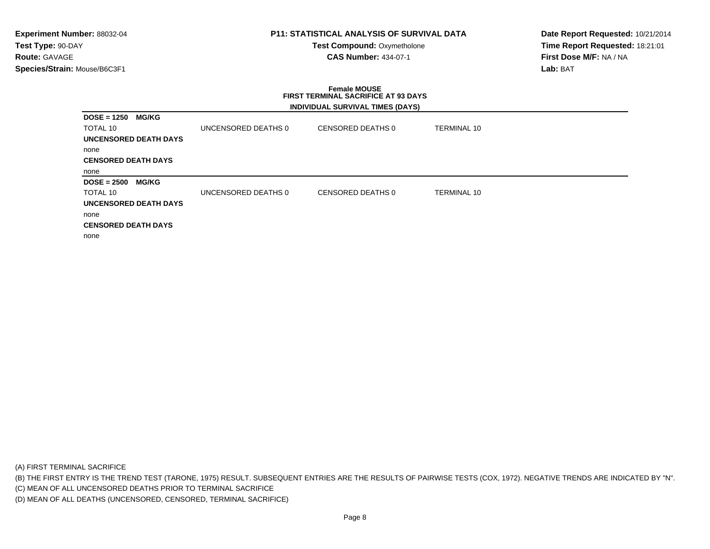### **P11: STATISTICAL ANALYSIS OF SURVIVAL DATA**

**Test Compound: Oxymetholone CAS Number:** 434-07-1

**Date Report Requested:** 10/21/2014**Time Report Requested:** 18:21:01**First Dose M/F:** NA / NA**Lab:** BAT

### **Female MOUSE FIRST TERMINAL SACRIFICE AT 93 DAYSINDIVIDUAL SURVIVAL TIMES (DAYS)**

| $DOSE = 1250$              | <b>MG/KG</b> |                     |                   |                    |
|----------------------------|--------------|---------------------|-------------------|--------------------|
| TOTAL 10                   |              | UNCENSORED DEATHS 0 | CENSORED DEATHS 0 | <b>TERMINAL 10</b> |
| UNCENSORED DEATH DAYS      |              |                     |                   |                    |
| none                       |              |                     |                   |                    |
| <b>CENSORED DEATH DAYS</b> |              |                     |                   |                    |
| none                       |              |                     |                   |                    |
| $DOSE = 2500$              | <b>MG/KG</b> |                     |                   |                    |
| TOTAL 10                   |              | UNCENSORED DEATHS 0 | CENSORED DEATHS 0 | <b>TERMINAL 10</b> |
| UNCENSORED DEATH DAYS      |              |                     |                   |                    |
| none                       |              |                     |                   |                    |
|                            |              |                     |                   |                    |
| <b>CENSORED DEATH DAYS</b> |              |                     |                   |                    |

(A) FIRST TERMINAL SACRIFICE

(B) THE FIRST ENTRY IS THE TREND TEST (TARONE, 1975) RESULT. SUBSEQUENT ENTRIES ARE THE RESULTS OF PAIRWISE TESTS (COX, 1972). NEGATIVE TRENDS ARE INDICATED BY "N".

(C) MEAN OF ALL UNCENSORED DEATHS PRIOR TO TERMINAL SACRIFICE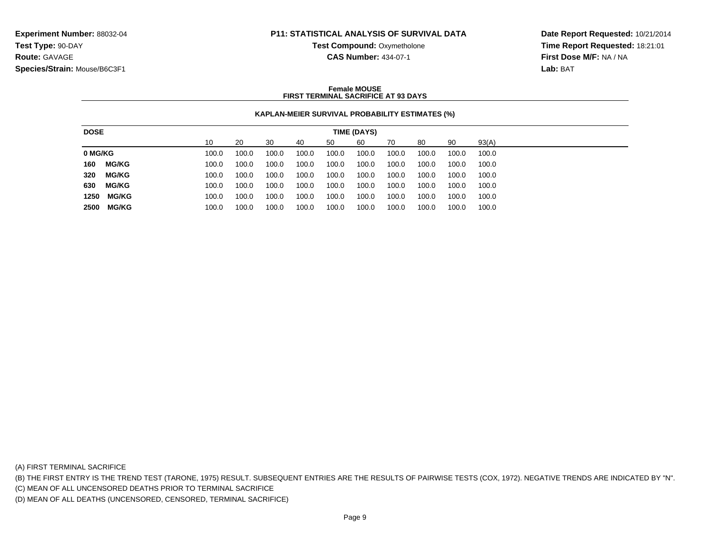### **P11: STATISTICAL ANALYSIS OF SURVIVAL DATA**

**Test Compound: Oxymetholone** 

**CAS Number:** 434-07-1

**Date Report Requested:** 10/21/2014**Time Report Requested:** 18:21:01**First Dose M/F:** NA / NA**Lab:** BAT

### **Female MOUSEFIRST TERMINAL SACRIFICE AT 93 DAYS**

### **KAPLAN-MEIER SURVIVAL PROBABILITY ESTIMATES (%)**

| 10<br>60<br>90<br>93(A)<br>30<br>20<br>80<br>50<br>70<br>40<br>100.0<br>100.0<br>100.0<br>100.0<br>100.0<br>100.0<br>100.0<br>100.0<br>100.0<br>100.0<br><b>MG/KG</b><br>100.0<br>100.0<br>100.0<br>100.0<br>100.0<br>100.0<br>100.0<br>100.0<br>100.0<br>100.0<br><b>MG/KG</b><br>100.0<br>100.0<br>100.0<br>100.0<br>100.0<br>100.0<br>100.0<br>100.0<br>100.0<br>100.0 |
|---------------------------------------------------------------------------------------------------------------------------------------------------------------------------------------------------------------------------------------------------------------------------------------------------------------------------------------------------------------------------|
| 0 MG/KG<br>160                                                                                                                                                                                                                                                                                                                                                            |
| 320                                                                                                                                                                                                                                                                                                                                                                       |
|                                                                                                                                                                                                                                                                                                                                                                           |
|                                                                                                                                                                                                                                                                                                                                                                           |
| <b>MG/KG</b><br>630<br>100.0<br>100.0<br>100.0<br>100.0<br>100.0<br>100.0<br>100.0<br>100.0<br>100.0<br>100.0                                                                                                                                                                                                                                                             |
| <b>MG/KG</b><br>1250<br>100.0<br>100.0<br>100.0<br>100.0<br>100.0<br>100.0<br>100.0<br>100.0<br>100.0<br>100.0                                                                                                                                                                                                                                                            |
| MG/KG<br>100.0<br>2500<br>100.0<br>100.0<br>100.0<br>100.0<br>100.0<br>100.0<br>100.0<br>100.0<br>100.0                                                                                                                                                                                                                                                                   |

(A) FIRST TERMINAL SACRIFICE

(B) THE FIRST ENTRY IS THE TREND TEST (TARONE, 1975) RESULT. SUBSEQUENT ENTRIES ARE THE RESULTS OF PAIRWISE TESTS (COX, 1972). NEGATIVE TRENDS ARE INDICATED BY "N".

(C) MEAN OF ALL UNCENSORED DEATHS PRIOR TO TERMINAL SACRIFICE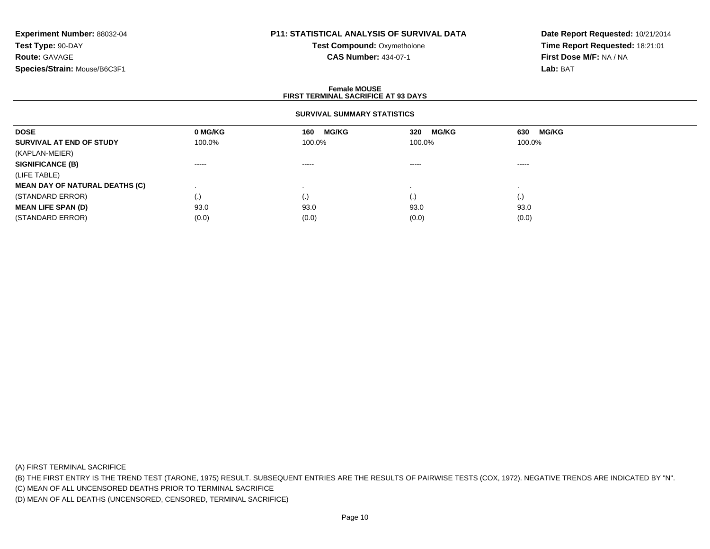# **P11: STATISTICAL ANALYSIS OF SURVIVAL DATA**

**Test Compound:** Oxymetholone**CAS Number:** 434-07-1

**Date Report Requested:** 10/21/2014**Time Report Requested:** 18:21:01**First Dose M/F:** NA / NA**Lab:** BAT

### **Female MOUSEFIRST TERMINAL SACRIFICE AT 93 DAYS**

### **SURVIVAL SUMMARY STATISTICS**

| <b>DOSE</b>                           | 0 MG/KG                                                                                                                                                                                                                                                                                                                                                                                                                                                                                | <b>MG/KG</b><br>160 | <b>MG/KG</b><br>320                                                                                                                                                                                                                                                                                                                                                                                                                                                                    | <b>MG/KG</b><br>630                                                                                                                                                                                                                                                                                                                                                                                                                                                                    |
|---------------------------------------|----------------------------------------------------------------------------------------------------------------------------------------------------------------------------------------------------------------------------------------------------------------------------------------------------------------------------------------------------------------------------------------------------------------------------------------------------------------------------------------|---------------------|----------------------------------------------------------------------------------------------------------------------------------------------------------------------------------------------------------------------------------------------------------------------------------------------------------------------------------------------------------------------------------------------------------------------------------------------------------------------------------------|----------------------------------------------------------------------------------------------------------------------------------------------------------------------------------------------------------------------------------------------------------------------------------------------------------------------------------------------------------------------------------------------------------------------------------------------------------------------------------------|
| SURVIVAL AT END OF STUDY              | 100.0%                                                                                                                                                                                                                                                                                                                                                                                                                                                                                 | 100.0%              | 100.0%                                                                                                                                                                                                                                                                                                                                                                                                                                                                                 | 100.0%                                                                                                                                                                                                                                                                                                                                                                                                                                                                                 |
| (KAPLAN-MEIER)                        |                                                                                                                                                                                                                                                                                                                                                                                                                                                                                        |                     |                                                                                                                                                                                                                                                                                                                                                                                                                                                                                        |                                                                                                                                                                                                                                                                                                                                                                                                                                                                                        |
| <b>SIGNIFICANCE (B)</b>               | $\begin{array}{cccccccccccccc} \multicolumn{2}{c}{} & \multicolumn{2}{c}{} & \multicolumn{2}{c}{} & \multicolumn{2}{c}{} & \multicolumn{2}{c}{} & \multicolumn{2}{c}{} & \multicolumn{2}{c}{} & \multicolumn{2}{c}{} & \multicolumn{2}{c}{} & \multicolumn{2}{c}{} & \multicolumn{2}{c}{} & \multicolumn{2}{c}{} & \multicolumn{2}{c}{} & \multicolumn{2}{c}{} & \multicolumn{2}{c}{} & \multicolumn{2}{c}{} & \multicolumn{2}{c}{} & \multicolumn{2}{c}{} & \multicolumn{2}{c}{} & \$ | $\cdots$            | $\begin{array}{cccccccccccccc} \multicolumn{2}{c}{} & \multicolumn{2}{c}{} & \multicolumn{2}{c}{} & \multicolumn{2}{c}{} & \multicolumn{2}{c}{} & \multicolumn{2}{c}{} & \multicolumn{2}{c}{} & \multicolumn{2}{c}{} & \multicolumn{2}{c}{} & \multicolumn{2}{c}{} & \multicolumn{2}{c}{} & \multicolumn{2}{c}{} & \multicolumn{2}{c}{} & \multicolumn{2}{c}{} & \multicolumn{2}{c}{} & \multicolumn{2}{c}{} & \multicolumn{2}{c}{} & \multicolumn{2}{c}{} & \multicolumn{2}{c}{} & \$ | $\begin{array}{cccccccccccccc} \multicolumn{2}{c}{} & \multicolumn{2}{c}{} & \multicolumn{2}{c}{} & \multicolumn{2}{c}{} & \multicolumn{2}{c}{} & \multicolumn{2}{c}{} & \multicolumn{2}{c}{} & \multicolumn{2}{c}{} & \multicolumn{2}{c}{} & \multicolumn{2}{c}{} & \multicolumn{2}{c}{} & \multicolumn{2}{c}{} & \multicolumn{2}{c}{} & \multicolumn{2}{c}{} & \multicolumn{2}{c}{} & \multicolumn{2}{c}{} & \multicolumn{2}{c}{} & \multicolumn{2}{c}{} & \multicolumn{2}{c}{} & \$ |
| (LIFE TABLE)                          |                                                                                                                                                                                                                                                                                                                                                                                                                                                                                        |                     |                                                                                                                                                                                                                                                                                                                                                                                                                                                                                        |                                                                                                                                                                                                                                                                                                                                                                                                                                                                                        |
| <b>MEAN DAY OF NATURAL DEATHS (C)</b> |                                                                                                                                                                                                                                                                                                                                                                                                                                                                                        |                     |                                                                                                                                                                                                                                                                                                                                                                                                                                                                                        |                                                                                                                                                                                                                                                                                                                                                                                                                                                                                        |
| (STANDARD ERROR)                      | $\left( .\right)$                                                                                                                                                                                                                                                                                                                                                                                                                                                                      | (.)                 |                                                                                                                                                                                                                                                                                                                                                                                                                                                                                        | $\left( . \right)$                                                                                                                                                                                                                                                                                                                                                                                                                                                                     |
| <b>MEAN LIFE SPAN (D)</b>             | 93.0                                                                                                                                                                                                                                                                                                                                                                                                                                                                                   | 93.0                | 93.0                                                                                                                                                                                                                                                                                                                                                                                                                                                                                   | 93.0                                                                                                                                                                                                                                                                                                                                                                                                                                                                                   |
| (STANDARD ERROR)                      | (0.0)                                                                                                                                                                                                                                                                                                                                                                                                                                                                                  | (0.0)               | (0.0)                                                                                                                                                                                                                                                                                                                                                                                                                                                                                  | (0.0)                                                                                                                                                                                                                                                                                                                                                                                                                                                                                  |

(A) FIRST TERMINAL SACRIFICE

(B) THE FIRST ENTRY IS THE TREND TEST (TARONE, 1975) RESULT. SUBSEQUENT ENTRIES ARE THE RESULTS OF PAIRWISE TESTS (COX, 1972). NEGATIVE TRENDS ARE INDICATED BY "N".

(C) MEAN OF ALL UNCENSORED DEATHS PRIOR TO TERMINAL SACRIFICE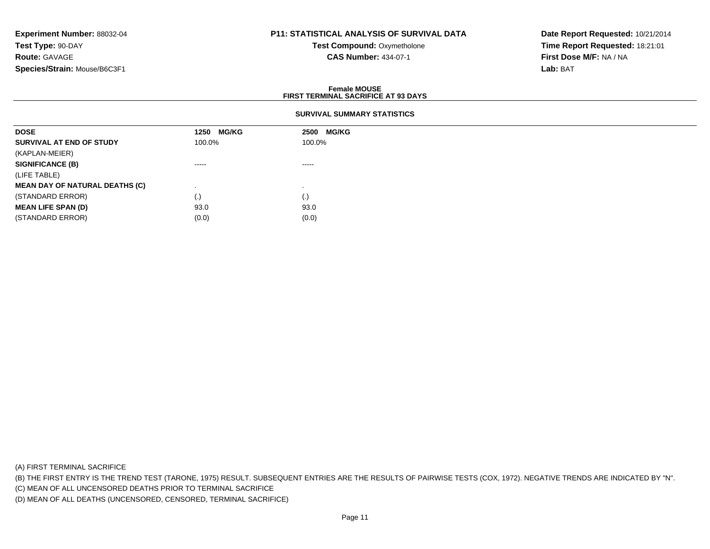# **P11: STATISTICAL ANALYSIS OF SURVIVAL DATA**

**Test Compound:** Oxymetholone**CAS Number:** 434-07-1

**Date Report Requested:** 10/21/2014**Time Report Requested:** 18:21:01**First Dose M/F:** NA / NA**Lab:** BAT

### **Female MOUSEFIRST TERMINAL SACRIFICE AT 93 DAYS**

### **SURVIVAL SUMMARY STATISTICS**

| <b>DOSE</b>                           | <b>MG/KG</b><br>1250 | 2500 MG/KG                                                                                                                                                                                                                                                                                                                                                                                                                                                                             |
|---------------------------------------|----------------------|----------------------------------------------------------------------------------------------------------------------------------------------------------------------------------------------------------------------------------------------------------------------------------------------------------------------------------------------------------------------------------------------------------------------------------------------------------------------------------------|
| SURVIVAL AT END OF STUDY              | 100.0%               | 100.0%                                                                                                                                                                                                                                                                                                                                                                                                                                                                                 |
| (KAPLAN-MEIER)                        |                      |                                                                                                                                                                                                                                                                                                                                                                                                                                                                                        |
| <b>SIGNIFICANCE (B)</b>               | $\cdots$             | $\begin{array}{cccccccccccccc} \multicolumn{2}{c}{} & \multicolumn{2}{c}{} & \multicolumn{2}{c}{} & \multicolumn{2}{c}{} & \multicolumn{2}{c}{} & \multicolumn{2}{c}{} & \multicolumn{2}{c}{} & \multicolumn{2}{c}{} & \multicolumn{2}{c}{} & \multicolumn{2}{c}{} & \multicolumn{2}{c}{} & \multicolumn{2}{c}{} & \multicolumn{2}{c}{} & \multicolumn{2}{c}{} & \multicolumn{2}{c}{} & \multicolumn{2}{c}{} & \multicolumn{2}{c}{} & \multicolumn{2}{c}{} & \multicolumn{2}{c}{} & \$ |
| (LIFE TABLE)                          |                      |                                                                                                                                                                                                                                                                                                                                                                                                                                                                                        |
| <b>MEAN DAY OF NATURAL DEATHS (C)</b> |                      |                                                                                                                                                                                                                                                                                                                                                                                                                                                                                        |
| (STANDARD ERROR)                      | (.)                  | (.)                                                                                                                                                                                                                                                                                                                                                                                                                                                                                    |
| <b>MEAN LIFE SPAN (D)</b>             | 93.0                 | 93.0                                                                                                                                                                                                                                                                                                                                                                                                                                                                                   |
| (STANDARD ERROR)                      | (0.0)                | (0.0)                                                                                                                                                                                                                                                                                                                                                                                                                                                                                  |

(A) FIRST TERMINAL SACRIFICE

(B) THE FIRST ENTRY IS THE TREND TEST (TARONE, 1975) RESULT. SUBSEQUENT ENTRIES ARE THE RESULTS OF PAIRWISE TESTS (COX, 1972). NEGATIVE TRENDS ARE INDICATED BY "N".

(C) MEAN OF ALL UNCENSORED DEATHS PRIOR TO TERMINAL SACRIFICE